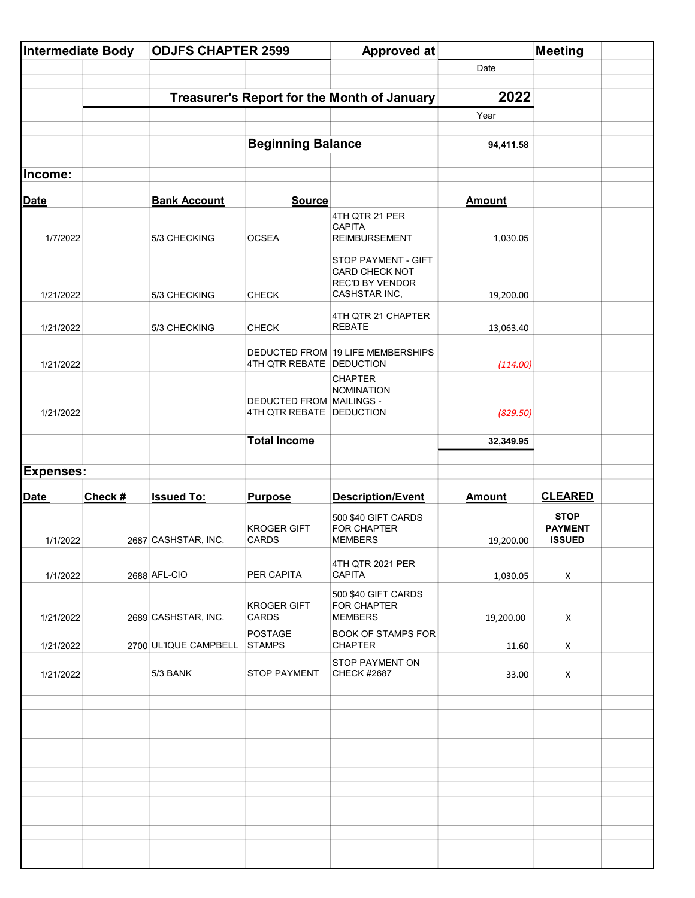| Intermediate Body |         | <b>ODJFS CHAPTER 2599</b>                   |                                                             | <b>Approved at</b>                                                               |               | <b>Meeting</b>                                 |  |
|-------------------|---------|---------------------------------------------|-------------------------------------------------------------|----------------------------------------------------------------------------------|---------------|------------------------------------------------|--|
|                   |         |                                             |                                                             |                                                                                  | Date          |                                                |  |
|                   |         |                                             |                                                             |                                                                                  | 2022          |                                                |  |
|                   |         | Treasurer's Report for the Month of January |                                                             |                                                                                  | Year          |                                                |  |
|                   |         |                                             |                                                             |                                                                                  |               |                                                |  |
|                   |         |                                             | <b>Beginning Balance</b>                                    |                                                                                  | 94,411.58     |                                                |  |
| Income:           |         |                                             |                                                             |                                                                                  |               |                                                |  |
| <b>Date</b>       |         | <b>Bank Account</b>                         | <b>Source</b>                                               |                                                                                  | <b>Amount</b> |                                                |  |
|                   |         |                                             |                                                             | 4TH QTR 21 PER<br><b>CAPITA</b>                                                  |               |                                                |  |
| 1/7/2022          |         | 5/3 CHECKING                                | <b>OCSEA</b>                                                | <b>REIMBURSEMENT</b>                                                             | 1,030.05      |                                                |  |
| 1/21/2022         |         | 5/3 CHECKING                                | <b>CHECK</b>                                                | STOP PAYMENT - GIFT<br>CARD CHECK NOT<br><b>REC'D BY VENDOR</b><br>CASHSTAR INC, | 19,200.00     |                                                |  |
| 1/21/2022         |         | 5/3 CHECKING                                | <b>CHECK</b>                                                | 4TH QTR 21 CHAPTER<br><b>REBATE</b>                                              | 13,063.40     |                                                |  |
| 1/21/2022         |         |                                             | 4TH QTR REBATE DEDUCTION                                    | DEDUCTED FROM 19 LIFE MEMBERSHIPS                                                | (114.00)      |                                                |  |
| 1/21/2022         |         |                                             | <b>DEDUCTED FROM MAILINGS -</b><br>4TH QTR REBATE DEDUCTION | <b>CHAPTER</b><br><b>NOMINATION</b>                                              | (829.50)      |                                                |  |
|                   |         |                                             | <b>Total Income</b>                                         |                                                                                  | 32,349.95     |                                                |  |
|                   |         |                                             |                                                             |                                                                                  |               |                                                |  |
| <b>Expenses:</b>  |         |                                             |                                                             |                                                                                  |               |                                                |  |
|                   |         |                                             |                                                             |                                                                                  |               |                                                |  |
| <b>Date</b>       | Check # | <b>Issued To:</b>                           | <b>Purpose</b>                                              | <b>Description/Event</b>                                                         | <b>Amount</b> | <b>CLEARED</b>                                 |  |
| 1/1/2022          |         | 2687 CASHSTAR, INC.                         | <b>KROGER GIFT</b><br><b>CARDS</b>                          | 500 \$40 GIFT CARDS<br>FOR CHAPTER<br><b>MEMBERS</b>                             | 19,200.00     | <b>STOP</b><br><b>PAYMENT</b><br><b>ISSUED</b> |  |
| 1/1/2022          |         | 2688 AFL-CIO                                | PER CAPITA                                                  | 4TH QTR 2021 PER<br><b>CAPITA</b>                                                | 1,030.05      | X                                              |  |
| 1/21/2022         |         | 2689 CASHSTAR, INC.                         | <b>KROGER GIFT</b><br>CARDS                                 | 500 \$40 GIFT CARDS<br>FOR CHAPTER<br><b>MEMBERS</b>                             | 19,200.00     | X                                              |  |
| 1/21/2022         |         | 2700 UL'IQUE CAMPBELL                       | <b>POSTAGE</b><br><b>STAMPS</b>                             | <b>BOOK OF STAMPS FOR</b><br><b>CHAPTER</b>                                      | 11.60         | Χ                                              |  |
| 1/21/2022         |         | 5/3 BANK                                    | <b>STOP PAYMENT</b>                                         | STOP PAYMENT ON<br><b>CHECK #2687</b>                                            | 33.00         | X                                              |  |
|                   |         |                                             |                                                             |                                                                                  |               |                                                |  |
|                   |         |                                             |                                                             |                                                                                  |               |                                                |  |
|                   |         |                                             |                                                             |                                                                                  |               |                                                |  |
|                   |         |                                             |                                                             |                                                                                  |               |                                                |  |
|                   |         |                                             |                                                             |                                                                                  |               |                                                |  |
|                   |         |                                             |                                                             |                                                                                  |               |                                                |  |
|                   |         |                                             |                                                             |                                                                                  |               |                                                |  |
|                   |         |                                             |                                                             |                                                                                  |               |                                                |  |
|                   |         |                                             |                                                             |                                                                                  |               |                                                |  |
|                   |         |                                             |                                                             |                                                                                  |               |                                                |  |